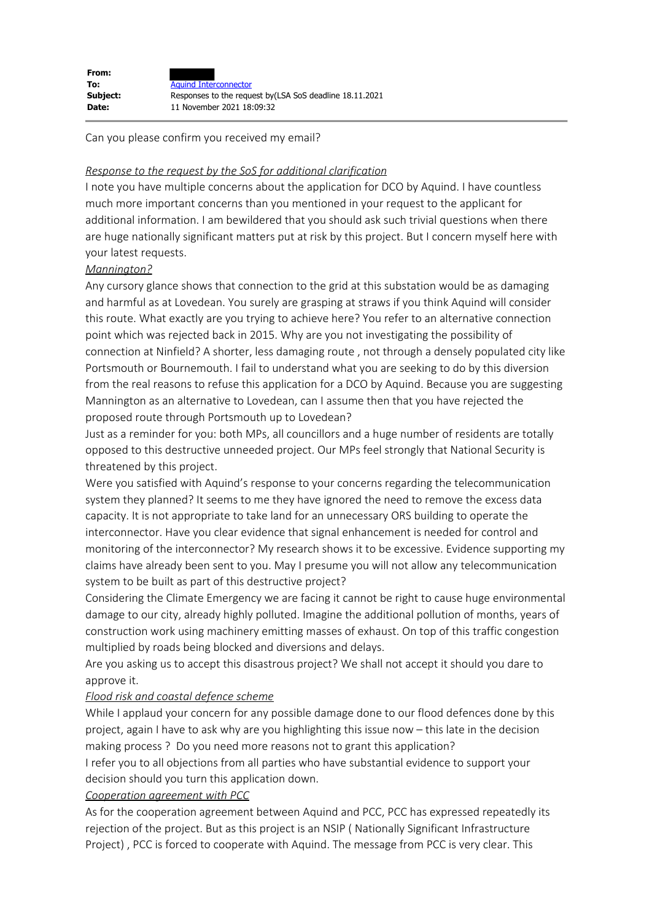| From:    |                                                          |
|----------|----------------------------------------------------------|
| To:      | <b>Aquind Interconnector</b>                             |
| Subject: | Responses to the request by (LSA SoS deadline 18.11.2021 |
| Date:    | 11 November 2021 18:09:32                                |

Can you please confirm you received my email?

## *Response to the request by the SoS for additional clarification*

I note you have multiple concerns about the application for DCO by Aquind. I have countless much more important concerns than you mentioned in your request to the applicant for additional information. I am bewildered that you should ask such trivial questions when there are huge nationally significant matters put at risk by this project. But I concern myself here with your latest requests.

## *Mannington?*

Any cursory glance shows that connection to the grid at this substation would be as damaging and harmful as at Lovedean. You surely are grasping at straws if you think Aquind will consider this route. What exactly are you trying to achieve here? You refer to an alternative connection point which was rejected back in 2015. Why are you not investigating the possibility of connection at Ninfield? A shorter, less damaging route , not through a densely populated city like Portsmouth or Bournemouth. I fail to understand what you are seeking to do by this diversion from the real reasons to refuse this application for a DCO by Aquind. Because you are suggesting Mannington as an alternative to Lovedean, can I assume then that you have rejected the proposed route through Portsmouth up to Lovedean?

Just as a reminder for you: both MPs, all councillors and a huge number of residents are totally opposed to this destructive unneeded project. Our MPs feel strongly that National Security is threatened by this project.

Were you satisfied with Aquind's response to your concerns regarding the telecommunication system they planned? It seems to me they have ignored the need to remove the excess data capacity. It is not appropriate to take land for an unnecessary ORS building to operate the interconnector. Have you clear evidence that signal enhancement is needed for control and monitoring of the interconnector? My research shows it to be excessive. Evidence supporting my claims have already been sent to you. May I presume you will not allow any telecommunication system to be built as part of this destructive project?

Considering the Climate Emergency we are facing it cannot be right to cause huge environmental damage to our city, already highly polluted. Imagine the additional pollution of months, years of construction work using machinery emitting masses of exhaust. On top of this traffic congestion multiplied by roads being blocked and diversions and delays.

Are you asking us to accept this disastrous project? We shall not accept it should you dare to approve it.

## *Flood risk and coastal defence scheme*

While I applaud your concern for any possible damage done to our flood defences done by this project, again I have to ask why are you highlighting this issue now – this late in the decision making process ? Do you need more reasons not to grant this application?

I refer you to all objections from all parties who have substantial evidence to support your decision should you turn this application down.

## *Cooperation agreement with PCC*

As for the cooperation agreement between Aquind and PCC, PCC has expressed repeatedly its rejection of the project. But as this project is an NSIP ( Nationally Significant Infrastructure Project) , PCC is forced to cooperate with Aquind. The message from PCC is very clear. This